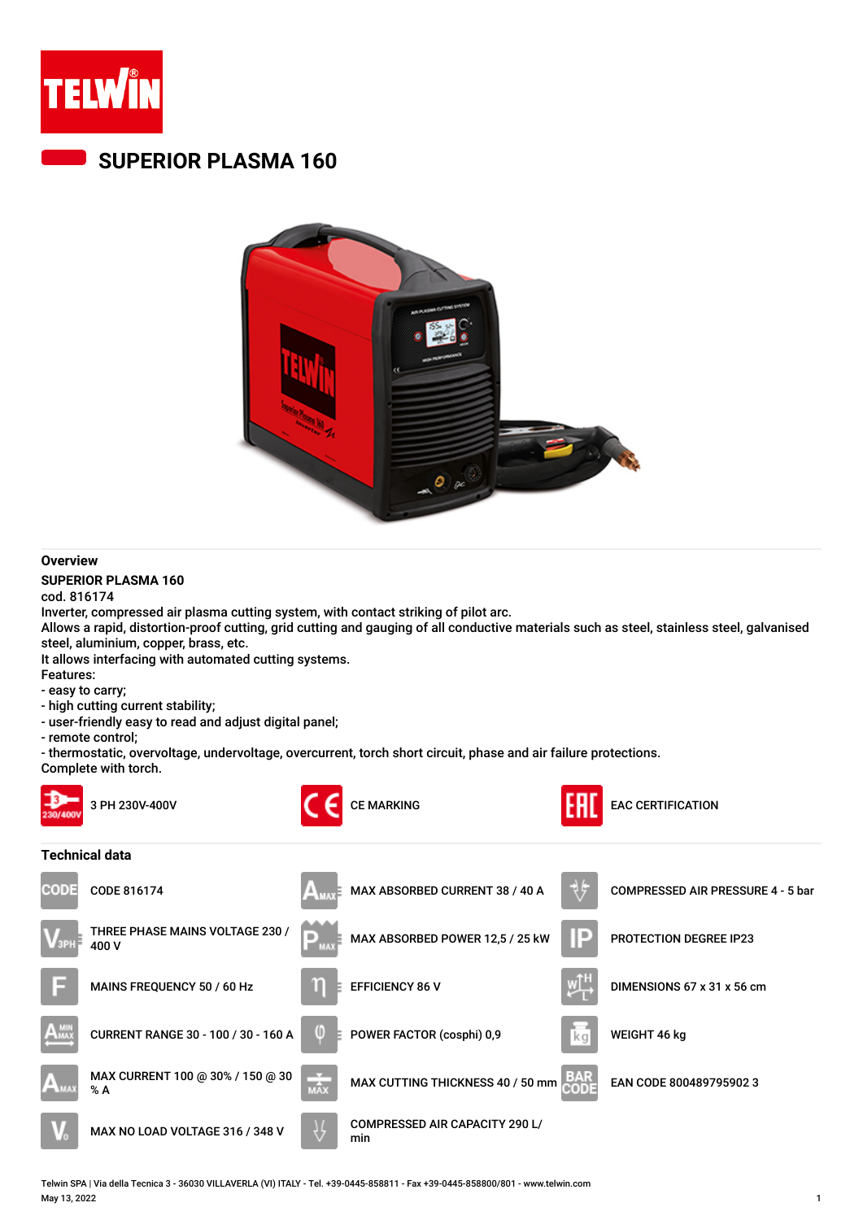

## **SUPERIOR PLASMA 160**



## **Overview**

## **SUPERIOR PLASMA 160**

cod. 816174 Inverter, compressed air plasma cutting system, with contact striking of pilot arc.

Allows a rapid, distortion-proof cutting, grid cutting and gauging of all conductive materials such as steel, stainless steel, galvanised steel, aluminium, copper, brass, etc.

It allows interfacing with automated cutting systems.

Features:

- easy to carry; - high cutting current stability;
- user-friendly easy to read and adjust digital panel;

- remote control;

- thermostatic, overvoltage, undervoltage, overcurrent, torch short circuit, phase and air failure protections.

Complete with torch.



Telwin SPA | Via della Tecnica 3 - 36030 VILLAVERLA (VI) ITALY - Tel. +39-0445-858811 - Fax +39-0445-858800/801 - www.telwin.com May 13, 2022 1